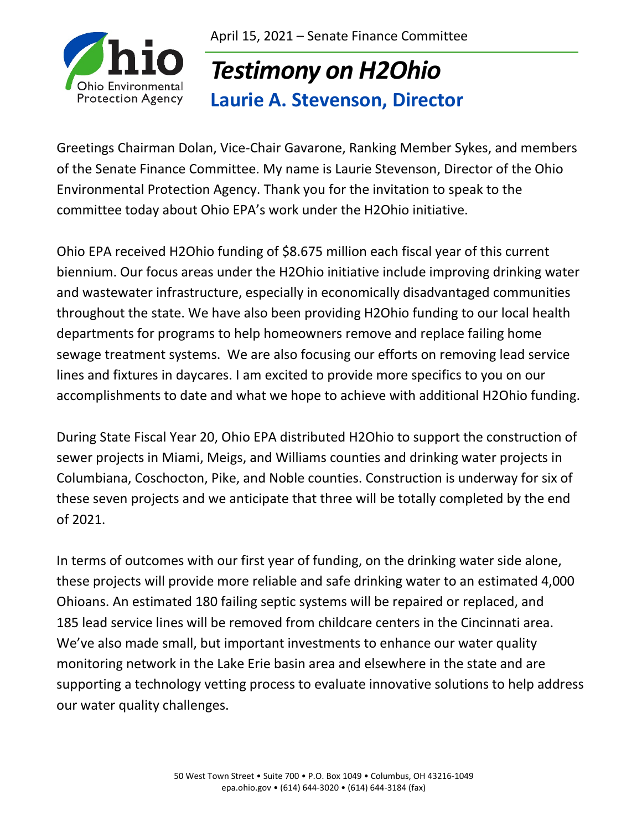



## *Testimony on H2Ohio* **Laurie A. Stevenson, Director**

Greetings Chairman Dolan, Vice-Chair Gavarone, Ranking Member Sykes, and members of the Senate Finance Committee. My name is Laurie Stevenson, Director of the Ohio Environmental Protection Agency. Thank you for the invitation to speak to the committee today about Ohio EPA's work under the H2Ohio initiative.

Ohio EPA received H2Ohio funding of \$8.675 million each fiscal year of this current biennium. Our focus areas under the H2Ohio initiative include improving drinking water and wastewater infrastructure, especially in economically disadvantaged communities throughout the state. We have also been providing H2Ohio funding to our local health departments for programs to help homeowners remove and replace failing home sewage treatment systems. We are also focusing our efforts on removing lead service lines and fixtures in daycares. I am excited to provide more specifics to you on our accomplishments to date and what we hope to achieve with additional H2Ohio funding.

During State Fiscal Year 20, Ohio EPA distributed H2Ohio to support the construction of sewer projects in Miami, Meigs, and Williams counties and drinking water projects in Columbiana, Coschocton, Pike, and Noble counties. Construction is underway for six of these seven projects and we anticipate that three will be totally completed by the end of 2021.

In terms of outcomes with our first year of funding, on the drinking water side alone, these projects will provide more reliable and safe drinking water to an estimated 4,000 Ohioans. An estimated 180 failing septic systems will be repaired or replaced, and 185 lead service lines will be removed from childcare centers in the Cincinnati area. We've also made small, but important investments to enhance our water quality monitoring network in the Lake Erie basin area and elsewhere in the state and are supporting a technology vetting process to evaluate innovative solutions to help address our water quality challenges.